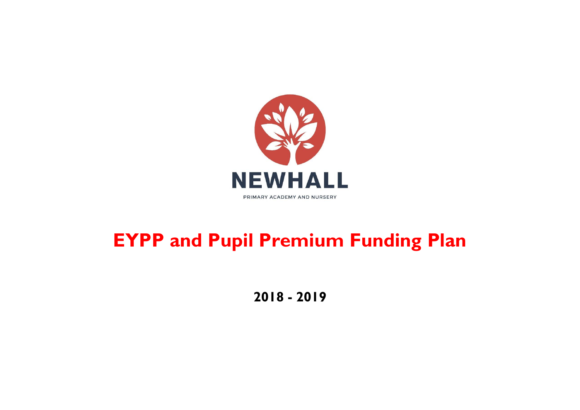

# **EYPP and Pupil Premium Funding Plan**

**2018 - 2019**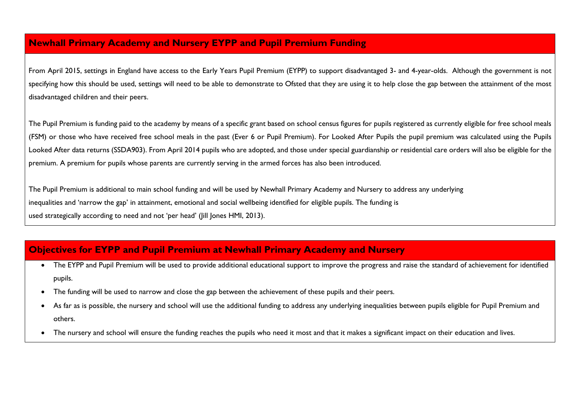### **Newhall Primary Academy and Nursery EYPP and Pupil Premium Funding**

From April 2015, settings in England have access to the Early Years Pupil Premium (EYPP) to support disadvantaged 3- and 4-year-olds. Although the government is not specifying how this should be used, settings will need to be able to demonstrate to Ofsted that they are using it to help close the gap between the attainment of the most disadvantaged children and their peers.

The Pupil Premium is funding paid to the academy by means of a specific grant based on school census figures for pupils registered as currently eligible for free school meals (FSM) or those who have received free school meals in the past (Ever 6 or Pupil Premium). For Looked After Pupils the pupil premium was calculated using the Pupils Looked After data returns (SSDA903). From April 2014 pupils who are adopted, and those under special guardianship or residential care orders will also be eligible for the premium. A premium for pupils whose parents are currently serving in the armed forces has also been introduced.

The Pupil Premium is additional to main school funding and will be used by Newhall Primary Academy and Nursery to address any underlying inequalities and 'narrow the gap' in attainment, emotional and social wellbeing identified for eligible pupils. The funding is used strategically according to need and not 'per head' (Jill Jones HMI, 2013).

# **Objectives for EYPP and Pupil Premium at Newhall Primary Academy and Nursery**

- The EYPP and Pupil Premium will be used to provide additional educational support to improve the progress and raise the standard of achievement for identified pupils.
- The funding will be used to narrow and close the gap between the achievement of these pupils and their peers.
- As far as is possible, the nursery and school will use the additional funding to address any underlying inequalities between pupils eligible for Pupil Premium and others.
- The nursery and school will ensure the funding reaches the pupils who need it most and that it makes a significant impact on their education and lives.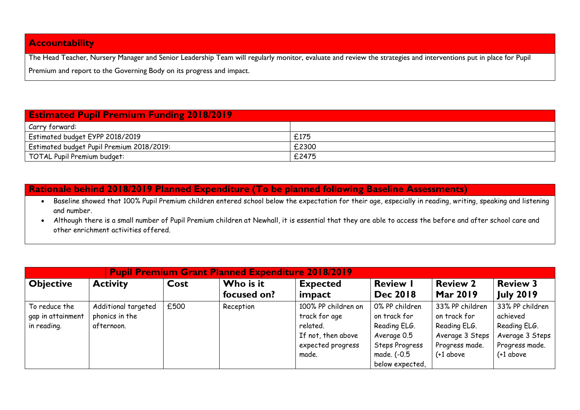## **Accountability**

The Head Teacher, Nursery Manager and Senior Leadership Team will regularly monitor, evaluate and review the strategies and interventions put in place for Pupil Premium and report to the Governing Body on its progress and impact.

| <b>Estimated Pupil Premium Funding 2018/2019</b> |       |  |  |  |  |
|--------------------------------------------------|-------|--|--|--|--|
| Carry forward:                                   |       |  |  |  |  |
| Estimated budget EYPP 2018/2019                  | £175  |  |  |  |  |
| Estimated budget Pupil Premium 2018/2019:        | £2300 |  |  |  |  |
| TOTAL Pupil Premium budget:                      | £2475 |  |  |  |  |

#### **Rationale behind 2018/2019 Planned Expenditure (To be planned following Baseline Assessments)**

- . Baseline showed that 100% Pupil Premium children entered school below the expectation for their age, especially in reading, writing, speaking and listening and number.
- Although there is a small number of Pupil Premium children at Newhall, it is essential that they are able to access the before and after school care and other enrichment activities offered.

| <b>Pupil Premium Grant Planned Expenditure 2018/2019</b> |                     |      |             |                     |                       |                 |                  |
|----------------------------------------------------------|---------------------|------|-------------|---------------------|-----------------------|-----------------|------------------|
| <b>Objective</b>                                         | <b>Activity</b>     | Cost | Who is it   | <b>Expected</b>     | <b>Review I</b>       | <b>Review 2</b> | <b>Review 3</b>  |
|                                                          |                     |      | focused on? | impact              | <b>Dec 2018</b>       | Mar 2019        | <b>July 2019</b> |
| To reduce the                                            | Additional targeted | £500 | Reception   | 100% PP children on | 0% PP children        | 33% PP children | 33% PP children  |
| gap in attainment                                        | phonics in the      |      |             | track for age       | on track for          | on track for    | achieved         |
| in reading.                                              | afternoon.          |      |             | related.            | Reading ELG.          | Reading ELG.    | Reading ELG.     |
|                                                          |                     |      |             | If not, then above  | Average 0.5           | Average 3 Steps | Average 3 Steps  |
|                                                          |                     |      |             | expected progress   | <b>Steps Progress</b> | Progress made.  | Progress made.   |
|                                                          |                     |      |             | made.               | made. (-0.5           | $(+1$ above     | $(+1$ above      |
|                                                          |                     |      |             |                     | below expected,       |                 |                  |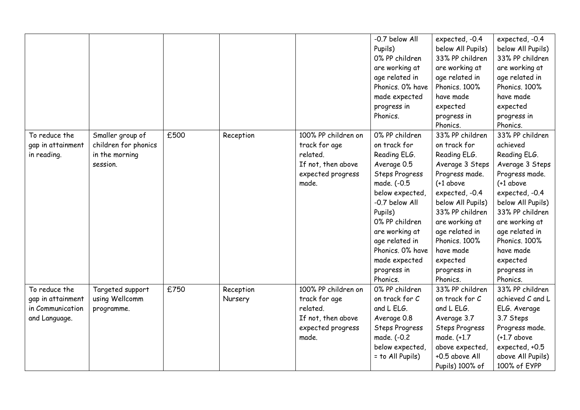|                   |                      |      |           |                     | -0.7 below All        | expected, -0.4        | expected, -0.4    |
|-------------------|----------------------|------|-----------|---------------------|-----------------------|-----------------------|-------------------|
|                   |                      |      |           |                     | Pupils)               | below All Pupils)     | below All Pupils) |
|                   |                      |      |           |                     | 0% PP children        | 33% PP children       | 33% PP children   |
|                   |                      |      |           |                     | are working at        | are working at        | are working at    |
|                   |                      |      |           |                     | age related in        | age related in        | age related in    |
|                   |                      |      |           |                     | Phonics. 0% have      | Phonics. 100%         | Phonics. 100%     |
|                   |                      |      |           |                     | made expected         | have made             | have made         |
|                   |                      |      |           |                     | progress in           | expected              | expected          |
|                   |                      |      |           |                     | Phonics.              | progress in           | progress in       |
|                   |                      |      |           |                     |                       | Phonics.              | Phonics.          |
| To reduce the     | Smaller group of     | £500 | Reception | 100% PP children on | 0% PP children        | 33% PP children       | 33% PP children   |
| gap in attainment | children for phonics |      |           | track for age       | on track for          | on track for          | achieved          |
| in reading.       | in the morning       |      |           | related.            | Reading ELG.          | Reading ELG.          | Reading ELG.      |
|                   | session.             |      |           | If not, then above  | Average 0.5           | Average 3 Steps       | Average 3 Steps   |
|                   |                      |      |           | expected progress   | <b>Steps Progress</b> | Progress made.        | Progress made.    |
|                   |                      |      |           | made.               | made. (-0.5           | $(+1$ above           | $(+1$ above       |
|                   |                      |      |           |                     | below expected,       | expected, -0.4        | expected, -0.4    |
|                   |                      |      |           |                     | -0.7 below All        | below All Pupils)     | below All Pupils) |
|                   |                      |      |           |                     | Pupils)               | 33% PP children       | 33% PP children   |
|                   |                      |      |           |                     | 0% PP children        | are working at        | are working at    |
|                   |                      |      |           |                     | are working at        | age related in        | age related in    |
|                   |                      |      |           |                     | age related in        | Phonics, 100%         | Phonics. 100%     |
|                   |                      |      |           |                     | Phonics. 0% have      | have made             | have made         |
|                   |                      |      |           |                     | made expected         | expected              | expected          |
|                   |                      |      |           |                     | progress in           | progress in           | progress in       |
|                   |                      |      |           |                     | Phonics.              | Phonics.              | Phonics.          |
| To reduce the     | Targeted support     | £750 | Reception | 100% PP children on | 0% PP children        | 33% PP children       | 33% PP children   |
| gap in attainment | using Wellcomm       |      | Nursery   | track for age       | on track for C        | on track for C        | achieved C and L  |
| in Communication  | programme.           |      |           | related.            | and L ELG.            | and L ELG.            | ELG. Average      |
| and Language.     |                      |      |           | If not, then above  | Average 0.8           | Average 3.7           | 3.7 Steps         |
|                   |                      |      |           | expected progress   | <b>Steps Progress</b> | <b>Steps Progress</b> | Progress made.    |
|                   |                      |      |           | made.               | made. (-0.2           | made. (+1.7           | $(+1.7$ above     |
|                   |                      |      |           |                     | below expected,       | above expected,       | expected, +0.5    |
|                   |                      |      |           |                     | = to All Pupils)      | +0.5 above All        | above All Pupils) |
|                   |                      |      |           |                     |                       | Pupils) 100% of       | 100% of EYPP      |